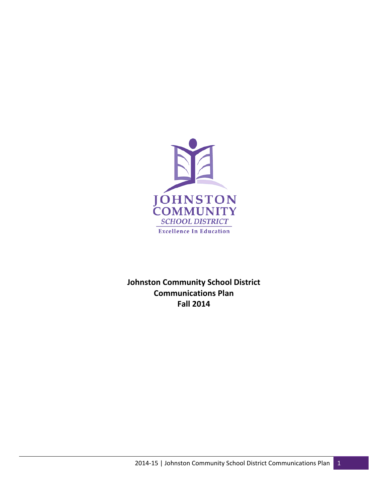

**Johnston Community School District Communications Plan Fall 2014**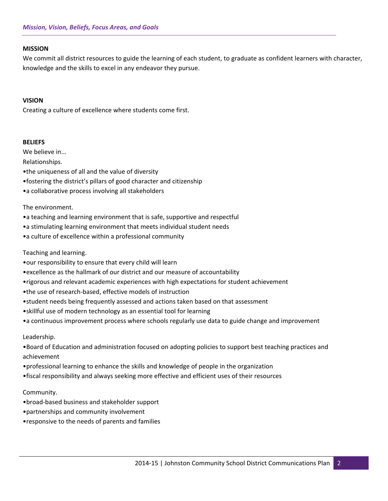#### **MISSION**

We commit all district resources to guide the learning of each student, to graduate as confident learners with character, knowledge and the skills to excel in any endeavor they pursue.

### **VISION**

Creating a culture of excellence where students come first.

#### **BELIEFS**

We believe in…

Relationships.

•the uniqueness of all and the value of diversity

- •fostering the district's pillars of good character and citizenship
- •a collaborative process involving all stakeholders

The environment.

- •a teaching and learning environment that is safe, supportive and respectful
- •a stimulating learning environment that meets individual student needs
- •a culture of excellence within a professional community

Teaching and learning.

- •our responsibility to ensure that every child will learn
- •excellence as the hallmark of our district and our measure of accountability
- •rigorous and relevant academic experiences with high expectations for student achievement
- •the use of research‐based, effective models of instruction
- •student needs being frequently assessed and actions taken based on that assessment
- •skillful use of modern technology as an essential tool for learning
- •a continuous improvement process where schools regularly use data to guide change and improvement

Leadership.

•Board of Education and administration focused on adopting policies to support best teaching practices and achievement

- •professional learning to enhance the skills and knowledge of people in the organization
- •fiscal responsibility and always seeking more effective and efficient uses of their resources

Community.

- •broad‐based business and stakeholder support
- •partnerships and community involvement
- •responsive to the needs of parents and families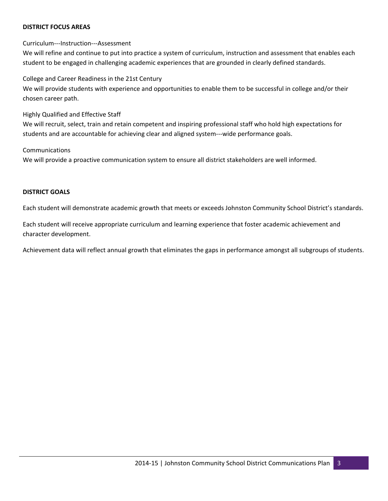## **DISTRICT FOCUS AREAS**

## Curriculum‐‐‐Instruction‐‐‐Assessment

We will refine and continue to put into practice a system of curriculum, instruction and assessment that enables each student to be engaged in challenging academic experiences that are grounded in clearly defined standards.

College and Career Readiness in the 21st Century

We will provide students with experience and opportunities to enable them to be successful in college and/or their chosen career path.

## Highly Qualified and Effective Staff

We will recruit, select, train and retain competent and inspiring professional staff who hold high expectations for students and are accountable for achieving clear and aligned system---wide performance goals.

# Communications

We will provide a proactive communication system to ensure all district stakeholders are well informed.

# **DISTRICT GOALS**

Each student will demonstrate academic growth that meets or exceeds Johnston Community School District's standards.

Each student will receive appropriate curriculum and learning experience that foster academic achievement and character development.

Achievement data will reflect annual growth that eliminates the gaps in performance amongst all subgroups of students.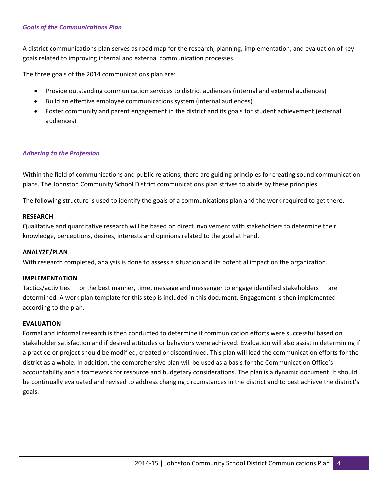A district communications plan serves as road map for the research, planning, implementation, and evaluation of key goals related to improving internal and external communication processes.

The three goals of the 2014 communications plan are:

- Provide outstanding communication services to district audiences (internal and external audiences)
- Build an effective employee communications system (internal audiences)
- Foster community and parent engagement in the district and its goals for student achievement (external audiences)

## *Adhering to the Profession*

Within the field of communications and public relations, there are guiding principles for creating sound communication plans. The Johnston Community School District communications plan strives to abide by these principles.

The following structure is used to identify the goals of a communications plan and the work required to get there.

## **RESEARCH**

Qualitative and quantitative research will be based on direct involvement with stakeholders to determine their knowledge, perceptions, desires, interests and opinions related to the goal at hand.

## **ANALYZE/PLAN**

With research completed, analysis is done to assess a situation and its potential impact on the organization.

#### **IMPLEMENTATION**

Tactics/activities — or the best manner, time, message and messenger to engage identified stakeholders — are determined. A work plan template for this step is included in this document. Engagement is then implemented according to the plan.

#### **EVALUATION**

Formal and informal research is then conducted to determine if communication efforts were successful based on stakeholder satisfaction and if desired attitudes or behaviors were achieved. Evaluation will also assist in determining if a practice or project should be modified, created or discontinued. This plan will lead the communication efforts for the district as a whole. In addition, the comprehensive plan will be used as a basis for the Communication Office's accountability and a framework for resource and budgetary considerations. The plan is a dynamic document. It should be continually evaluated and revised to address changing circumstances in the district and to best achieve the district's goals.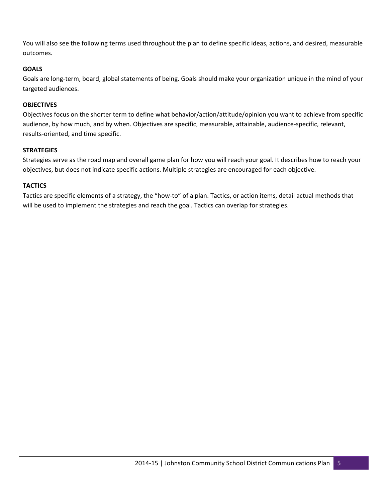You will also see the following terms used throughout the plan to define specific ideas, actions, and desired, measurable outcomes.

# **GOALS**

Goals are long-term, board, global statements of being. Goals should make your organization unique in the mind of your targeted audiences.

# **OBJECTIVES**

Objectives focus on the shorter term to define what behavior/action/attitude/opinion you want to achieve from specific audience, by how much, and by when. Objectives are specific, measurable, attainable, audience‐specific, relevant, results‐oriented, and time specific.

# **STRATEGIES**

Strategies serve as the road map and overall game plan for how you will reach your goal. It describes how to reach your objectives, but does not indicate specific actions. Multiple strategies are encouraged for each objective.

# **TACTICS**

Tactics are specific elements of a strategy, the "how‐to" of a plan. Tactics, or action items, detail actual methods that will be used to implement the strategies and reach the goal. Tactics can overlap for strategies.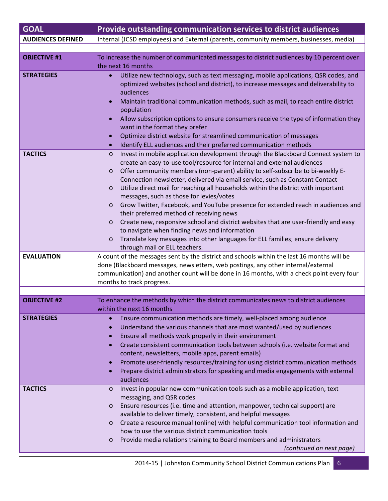| <b>GOAL</b>              | Provide outstanding communication services to district audiences                                                                                                                                                                                                                                                                                                                                                                                                                                                                                                                                                                                                                                                                                                                                                                                                                                                             |
|--------------------------|------------------------------------------------------------------------------------------------------------------------------------------------------------------------------------------------------------------------------------------------------------------------------------------------------------------------------------------------------------------------------------------------------------------------------------------------------------------------------------------------------------------------------------------------------------------------------------------------------------------------------------------------------------------------------------------------------------------------------------------------------------------------------------------------------------------------------------------------------------------------------------------------------------------------------|
| <b>AUDIENCES DEFINED</b> | Internal (JCSD employees) and External (parents, community members, businesses, media)                                                                                                                                                                                                                                                                                                                                                                                                                                                                                                                                                                                                                                                                                                                                                                                                                                       |
|                          |                                                                                                                                                                                                                                                                                                                                                                                                                                                                                                                                                                                                                                                                                                                                                                                                                                                                                                                              |
| <b>OBJECTIVE #1</b>      | To increase the number of communicated messages to district audiences by 10 percent over<br>the next 16 months                                                                                                                                                                                                                                                                                                                                                                                                                                                                                                                                                                                                                                                                                                                                                                                                               |
| <b>STRATEGIES</b>        | Utilize new technology, such as text messaging, mobile applications, QSR codes, and<br>$\bullet$<br>optimized websites (school and district), to increase messages and deliverability to<br>audiences<br>Maintain traditional communication methods, such as mail, to reach entire district<br>$\bullet$<br>population<br>Allow subscription options to ensure consumers receive the type of information they<br>want in the format they prefer<br>Optimize district website for streamlined communication of messages<br>Identify ELL audiences and their preferred communication methods<br>$\bullet$                                                                                                                                                                                                                                                                                                                      |
| <b>TACTICS</b>           | Invest in mobile application development through the Blackboard Connect system to<br>$\circ$<br>create an easy-to-use tool/resource for internal and external audiences<br>Offer community members (non-parent) ability to self-subscribe to bi-weekly E-<br>$\circ$<br>Connection newsletter, delivered via email service, such as Constant Contact<br>Utilize direct mail for reaching all households within the district with important<br>$\circ$<br>messages, such as those for levies/votes<br>Grow Twitter, Facebook, and YouTube presence for extended reach in audiences and<br>$\circ$<br>their preferred method of receiving news<br>Create new, responsive school and district websites that are user-friendly and easy<br>$\circ$<br>to navigate when finding news and information<br>Translate key messages into other languages for ELL families; ensure delivery<br>$\circ$<br>through mail or ELL teachers. |
| <b>EVALUATION</b>        | A count of the messages sent by the district and schools within the last 16 months will be<br>done (Blackboard messages, newsletters, web postings, any other internal/external<br>communication) and another count will be done in 16 months, with a check point every four<br>months to track progress.                                                                                                                                                                                                                                                                                                                                                                                                                                                                                                                                                                                                                    |
|                          |                                                                                                                                                                                                                                                                                                                                                                                                                                                                                                                                                                                                                                                                                                                                                                                                                                                                                                                              |
| <b>OBJECTIVE #2</b>      | To enhance the methods by which the district communicates news to district audiences<br>within the next 16 months                                                                                                                                                                                                                                                                                                                                                                                                                                                                                                                                                                                                                                                                                                                                                                                                            |
| <b>STRATEGIES</b>        | Ensure communication methods are timely, well-placed among audience<br>Understand the various channels that are most wanted/used by audiences<br>Ensure all methods work properly in their environment<br>Create consistent communication tools between schools (i.e. website format and<br>$\bullet$<br>content, newsletters, mobile apps, parent emails)<br>Promote user-friendly resources/training for using district communication methods<br>Prepare district administrators for speaking and media engagements with external<br>audiences                                                                                                                                                                                                                                                                                                                                                                             |
| <b>TACTICS</b>           | Invest in popular new communication tools such as a mobile application, text<br>$\circ$<br>messaging, and QSR codes<br>Ensure resources (i.e. time and attention, manpower, technical support) are<br>$\circ$<br>available to deliver timely, consistent, and helpful messages<br>Create a resource manual (online) with helpful communication tool information and<br>$\circ$<br>how to use the various district communication tools<br>Provide media relations training to Board members and administrators<br>$\circ$<br>(continued on next page)                                                                                                                                                                                                                                                                                                                                                                         |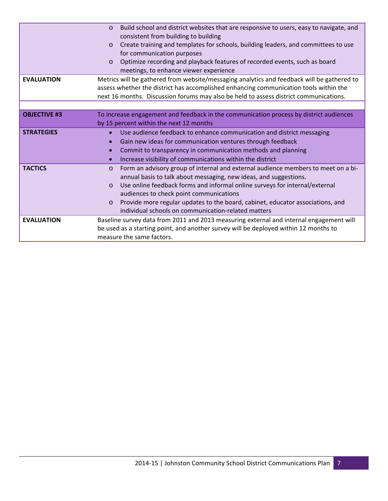|                     | Build school and district websites that are responsive to users, easy to navigate, and<br>$\circ$<br>consistent from building to building<br>Create training and templates for schools, building leaders, and committees to use<br>$\circ$<br>for communication purposes<br>Optimize recording and playback features of recorded events, such as board<br>$\circ$<br>meetings, to enhance viewer experience                                                |
|---------------------|------------------------------------------------------------------------------------------------------------------------------------------------------------------------------------------------------------------------------------------------------------------------------------------------------------------------------------------------------------------------------------------------------------------------------------------------------------|
| <b>EVALUATION</b>   | Metrics will be gathered from website/messaging analytics and feedback will be gathered to                                                                                                                                                                                                                                                                                                                                                                 |
|                     | assess whether the district has accomplished enhancing communication tools within the<br>next 16 months. Discussion forums may also be held to assess district communications.                                                                                                                                                                                                                                                                             |
|                     |                                                                                                                                                                                                                                                                                                                                                                                                                                                            |
| <b>OBJECTIVE #3</b> | To increase engagement and feedback in the communication process by district audiences<br>by 15 percent within the next 12 months                                                                                                                                                                                                                                                                                                                          |
| <b>STRATEGIES</b>   | Use audience feedback to enhance communication and district messaging<br>Gain new ideas for communication ventures through feedback<br>$\bullet$<br>Commit to transparency in communication methods and planning<br>$\bullet$<br>Increase visibility of communications within the district                                                                                                                                                                 |
| <b>TACTICS</b>      | Form an advisory group of internal and external audience members to meet on a bi-<br>$\circ$<br>annual basis to talk about messaging, new ideas, and suggestions.<br>Use online feedback forms and informal online surveys for internal/external<br>$\circ$<br>audiences to check point communications<br>Provide more regular updates to the board, cabinet, educator associations, and<br>$\circ$<br>individual schools on communication-related matters |
| <b>EVALUATION</b>   | Baseline survey data from 2011 and 2013 measuring external and internal engagement will<br>be used as a starting point, and another survey will be deployed within 12 months to<br>measure the same factors.                                                                                                                                                                                                                                               |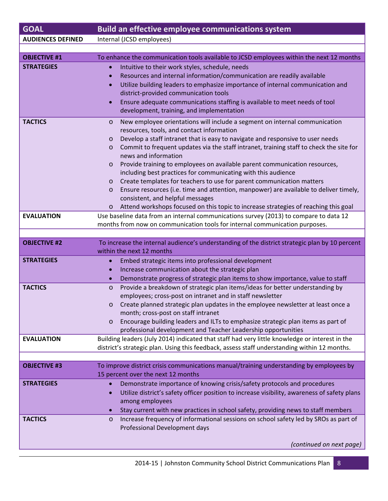| <b>GOAL</b>              | <b>Build an effective employee communications system</b>                                                                                                                                                                                                                                                                                                                                                                                                                                                                                                                                                                                                                                                                                                                                                                                              |
|--------------------------|-------------------------------------------------------------------------------------------------------------------------------------------------------------------------------------------------------------------------------------------------------------------------------------------------------------------------------------------------------------------------------------------------------------------------------------------------------------------------------------------------------------------------------------------------------------------------------------------------------------------------------------------------------------------------------------------------------------------------------------------------------------------------------------------------------------------------------------------------------|
| <b>AUDIENCES DEFINED</b> | Internal (JCSD employees)                                                                                                                                                                                                                                                                                                                                                                                                                                                                                                                                                                                                                                                                                                                                                                                                                             |
|                          |                                                                                                                                                                                                                                                                                                                                                                                                                                                                                                                                                                                                                                                                                                                                                                                                                                                       |
| <b>OBJECTIVE #1</b>      | To enhance the communication tools available to JCSD employees within the next 12 months                                                                                                                                                                                                                                                                                                                                                                                                                                                                                                                                                                                                                                                                                                                                                              |
| <b>STRATEGIES</b>        | Intuitive to their work styles, schedule, needs<br>Resources and internal information/communication are readily available<br>$\bullet$<br>Utilize building leaders to emphasize importance of internal communication and<br>$\bullet$<br>district-provided communication tools<br>Ensure adequate communications staffing is available to meet needs of tool<br>$\bullet$<br>development, training, and implementation                                                                                                                                                                                                                                                                                                                                                                                                                                |
| <b>TACTICS</b>           | New employee orientations will include a segment on internal communication<br>$\circ$<br>resources, tools, and contact information<br>Develop a staff intranet that is easy to navigate and responsive to user needs<br>$\circ$<br>Commit to frequent updates via the staff intranet, training staff to check the site for<br>$\circ$<br>news and information<br>Provide training to employees on available parent communication resources,<br>$\circ$<br>including best practices for communicating with this audience<br>Create templates for teachers to use for parent communication matters<br>$\circ$<br>Ensure resources (i.e. time and attention, manpower) are available to deliver timely,<br>$\circ$<br>consistent, and helpful messages<br>Attend workshops focused on this topic to increase strategies of reaching this goal<br>$\circ$ |
| <b>EVALUATION</b>        | Use baseline data from an internal communications survey (2013) to compare to data 12                                                                                                                                                                                                                                                                                                                                                                                                                                                                                                                                                                                                                                                                                                                                                                 |
|                          | months from now on communication tools for internal communication purposes.                                                                                                                                                                                                                                                                                                                                                                                                                                                                                                                                                                                                                                                                                                                                                                           |
|                          |                                                                                                                                                                                                                                                                                                                                                                                                                                                                                                                                                                                                                                                                                                                                                                                                                                                       |
| <b>OBJECTIVE #2</b>      | To increase the internal audience's understanding of the district strategic plan by 10 percent<br>within the next 12 months                                                                                                                                                                                                                                                                                                                                                                                                                                                                                                                                                                                                                                                                                                                           |
| <b>STRATEGIES</b>        | Embed strategic items into professional development<br>Increase communication about the strategic plan<br>Demonstrate progress of strategic plan items to show importance, value to staff                                                                                                                                                                                                                                                                                                                                                                                                                                                                                                                                                                                                                                                             |
| <b>TACTICS</b>           | Provide a breakdown of strategic plan items/ideas for better understanding by<br>$\circ$<br>employees; cross-post on intranet and in staff newsletter<br>Create planned strategic plan updates in the employee newsletter at least once a<br>$\circ$<br>month; cross-post on staff intranet<br>Encourage building leaders and ILTs to emphasize strategic plan items as part of<br>$\circ$<br>professional development and Teacher Leadership opportunities                                                                                                                                                                                                                                                                                                                                                                                           |
| <b>EVALUATION</b>        | Building leaders (July 2014) indicated that staff had very little knowledge or interest in the<br>district's strategic plan. Using this feedback, assess staff understanding within 12 months.                                                                                                                                                                                                                                                                                                                                                                                                                                                                                                                                                                                                                                                        |
|                          |                                                                                                                                                                                                                                                                                                                                                                                                                                                                                                                                                                                                                                                                                                                                                                                                                                                       |
| <b>OBJECTIVE #3</b>      | To improve district crisis communications manual/training understanding by employees by<br>15 percent over the next 12 months                                                                                                                                                                                                                                                                                                                                                                                                                                                                                                                                                                                                                                                                                                                         |
| <b>STRATEGIES</b>        | Demonstrate importance of knowing crisis/safety protocols and procedures<br>Utilize district's safety officer position to increase visibility, awareness of safety plans<br>among employees<br>Stay current with new practices in school safety, providing news to staff members                                                                                                                                                                                                                                                                                                                                                                                                                                                                                                                                                                      |
| <b>TACTICS</b>           | Increase frequency of informational sessions on school safety led by SROs as part of<br>$\circ$<br>Professional Development days                                                                                                                                                                                                                                                                                                                                                                                                                                                                                                                                                                                                                                                                                                                      |
|                          | (continued on next page)                                                                                                                                                                                                                                                                                                                                                                                                                                                                                                                                                                                                                                                                                                                                                                                                                              |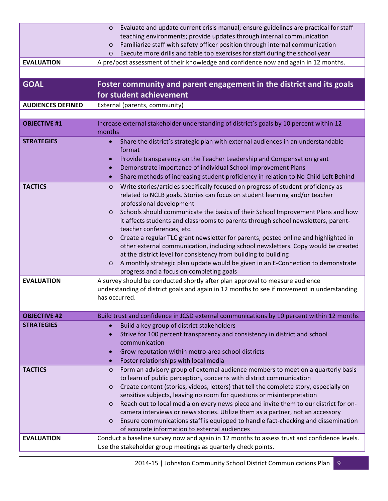| <b>EVALUATION</b>        | Evaluate and update current crisis manual; ensure guidelines are practical for staff<br>$\circ$<br>teaching environments; provide updates through internal communication<br>Familiarize staff with safety officer position through internal communication<br>$\circ$<br>Execute more drills and table top exercises for staff during the school year<br>$\circ$<br>A pre/post assessment of their knowledge and confidence now and again in 12 months.                                                                                                                                                                                                                                                                                                                                                                       |
|--------------------------|------------------------------------------------------------------------------------------------------------------------------------------------------------------------------------------------------------------------------------------------------------------------------------------------------------------------------------------------------------------------------------------------------------------------------------------------------------------------------------------------------------------------------------------------------------------------------------------------------------------------------------------------------------------------------------------------------------------------------------------------------------------------------------------------------------------------------|
|                          |                                                                                                                                                                                                                                                                                                                                                                                                                                                                                                                                                                                                                                                                                                                                                                                                                              |
| <b>GOAL</b>              | Foster community and parent engagement in the district and its goals<br>for student achievement                                                                                                                                                                                                                                                                                                                                                                                                                                                                                                                                                                                                                                                                                                                              |
| <b>AUDIENCES DEFINED</b> | External (parents, community)                                                                                                                                                                                                                                                                                                                                                                                                                                                                                                                                                                                                                                                                                                                                                                                                |
| <b>OBJECTIVE #1</b>      | Increase external stakeholder understanding of district's goals by 10 percent within 12<br>months                                                                                                                                                                                                                                                                                                                                                                                                                                                                                                                                                                                                                                                                                                                            |
| <b>STRATEGIES</b>        | Share the district's strategic plan with external audiences in an understandable<br>$\bullet$<br>format<br>Provide transparency on the Teacher Leadership and Compensation grant<br>Demonstrate importance of individual School Improvement Plans<br>Share methods of increasing student proficiency in relation to No Child Left Behind                                                                                                                                                                                                                                                                                                                                                                                                                                                                                     |
| <b>TACTICS</b>           | Write stories/articles specifically focused on progress of student proficiency as<br>$\circ$<br>related to NCLB goals. Stories can focus on student learning and/or teacher<br>professional development<br>Schools should communicate the basics of their School Improvement Plans and how<br>$\circ$<br>it affects students and classrooms to parents through school newsletters, parent-<br>teacher conferences, etc.<br>Create a regular TLC grant newsletter for parents, posted online and highlighted in<br>$\circ$<br>other external communication, including school newsletters. Copy would be created<br>at the district level for consistency from building to building<br>A monthly strategic plan update would be given in an E-Connection to demonstrate<br>$\circ$<br>progress and a focus on completing goals |
| <b>EVALUATION</b>        | A survey should be conducted shortly after plan approval to measure audience<br>understanding of district goals and again in 12 months to see if movement in understanding<br>has occurred.                                                                                                                                                                                                                                                                                                                                                                                                                                                                                                                                                                                                                                  |
| <b>OBJECTIVE #2</b>      | Build trust and confidence in JCSD external communications by 10 percent within 12 months                                                                                                                                                                                                                                                                                                                                                                                                                                                                                                                                                                                                                                                                                                                                    |
| <b>STRATEGIES</b>        | Build a key group of district stakeholders<br>Strive for 100 percent transparency and consistency in district and school<br>communication<br>Grow reputation within metro-area school districts<br>Foster relationships with local media                                                                                                                                                                                                                                                                                                                                                                                                                                                                                                                                                                                     |
| <b>TACTICS</b>           | Form an advisory group of external audience members to meet on a quarterly basis<br>$\circ$<br>to learn of public perception, concerns with district communication<br>Create content (stories, videos, letters) that tell the complete story, especially on<br>$\circ$<br>sensitive subjects, leaving no room for questions or misinterpretation<br>Reach out to local media on every news piece and invite them to our district for on-<br>$\circ$<br>camera interviews or news stories. Utilize them as a partner, not an accessory<br>Ensure communications staff is equipped to handle fact-checking and dissemination<br>$\circ$<br>of accurate information to external audiences                                                                                                                                       |
| <b>EVALUATION</b>        | Conduct a baseline survey now and again in 12 months to assess trust and confidence levels.<br>Use the stakeholder group meetings as quarterly check points.                                                                                                                                                                                                                                                                                                                                                                                                                                                                                                                                                                                                                                                                 |